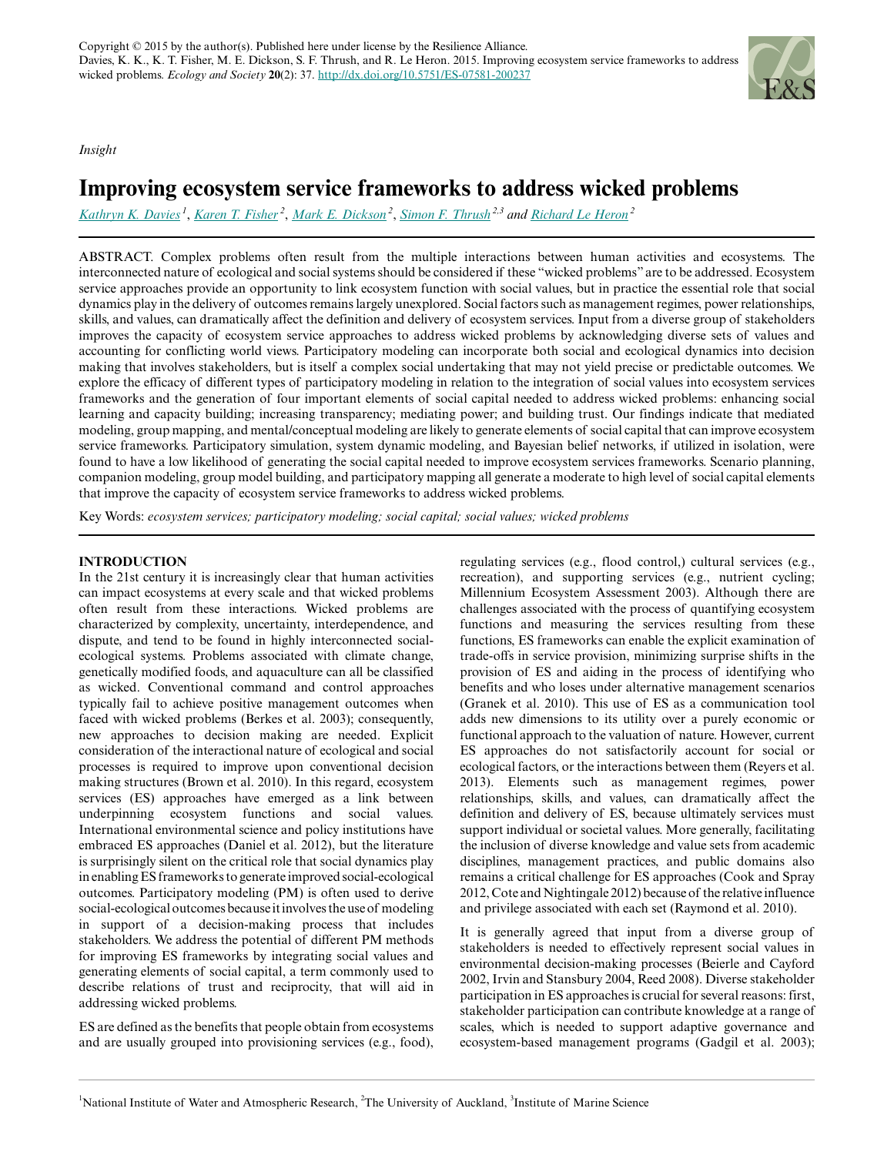*Insight*

# **Improving ecosystem service frameworks to address wicked problems**

*[Kathryn K. Davies](mailto:Kate.Davies@niwa.co.nz)<sup>1</sup>* , *[Karen T. Fisher](mailto:k.fisher@auckland.ac.nz)<sup>2</sup>* , *[Mark E. Dickson](mailto:m.dickson@auckland.ac.nz)<sup>2</sup>* , *[Simon F. Thrush](mailto:s.thrush@auckland.ac.nz) 2,3 and [Richard Le Heron](mailto:r.leheron@auckland.ac.nz)<sup>2</sup>*

ABSTRACT. Complex problems often result from the multiple interactions between human activities and ecosystems. The interconnected nature of ecological and social systems should be considered if these "wicked problems" are to be addressed. Ecosystem service approaches provide an opportunity to link ecosystem function with social values, but in practice the essential role that social dynamics play in the delivery of outcomes remains largely unexplored. Social factors such as management regimes, power relationships, skills, and values, can dramatically affect the definition and delivery of ecosystem services. Input from a diverse group of stakeholders improves the capacity of ecosystem service approaches to address wicked problems by acknowledging diverse sets of values and accounting for conflicting world views. Participatory modeling can incorporate both social and ecological dynamics into decision making that involves stakeholders, but is itself a complex social undertaking that may not yield precise or predictable outcomes. We explore the efficacy of different types of participatory modeling in relation to the integration of social values into ecosystem services frameworks and the generation of four important elements of social capital needed to address wicked problems: enhancing social learning and capacity building; increasing transparency; mediating power; and building trust. Our findings indicate that mediated modeling, group mapping, and mental/conceptual modeling are likely to generate elements of social capital that can improve ecosystem service frameworks. Participatory simulation, system dynamic modeling, and Bayesian belief networks, if utilized in isolation, were found to have a low likelihood of generating the social capital needed to improve ecosystem services frameworks. Scenario planning, companion modeling, group model building, and participatory mapping all generate a moderate to high level of social capital elements that improve the capacity of ecosystem service frameworks to address wicked problems.

Key Words: *ecosystem services; participatory modeling; social capital; social values; wicked problems*

# **INTRODUCTION**

In the 21st century it is increasingly clear that human activities can impact ecosystems at every scale and that wicked problems often result from these interactions. Wicked problems are characterized by complexity, uncertainty, interdependence, and dispute, and tend to be found in highly interconnected socialecological systems. Problems associated with climate change, genetically modified foods, and aquaculture can all be classified as wicked. Conventional command and control approaches typically fail to achieve positive management outcomes when faced with wicked problems (Berkes et al. 2003); consequently, new approaches to decision making are needed. Explicit consideration of the interactional nature of ecological and social processes is required to improve upon conventional decision making structures (Brown et al. 2010). In this regard, ecosystem services (ES) approaches have emerged as a link between underpinning ecosystem functions and social values. International environmental science and policy institutions have embraced ES approaches (Daniel et al. 2012), but the literature is surprisingly silent on the critical role that social dynamics play in enabling ES frameworks to generate improved social-ecological outcomes. Participatory modeling (PM) is often used to derive social-ecological outcomes because it involves the use of modeling in support of a decision-making process that includes stakeholders. We address the potential of different PM methods for improving ES frameworks by integrating social values and generating elements of social capital, a term commonly used to describe relations of trust and reciprocity, that will aid in addressing wicked problems.

ES are defined as the benefits that people obtain from ecosystems and are usually grouped into provisioning services (e.g., food), regulating services (e.g., flood control,) cultural services (e.g., recreation), and supporting services (e.g., nutrient cycling; Millennium Ecosystem Assessment 2003). Although there are challenges associated with the process of quantifying ecosystem functions and measuring the services resulting from these functions, ES frameworks can enable the explicit examination of trade-offs in service provision, minimizing surprise shifts in the provision of ES and aiding in the process of identifying who benefits and who loses under alternative management scenarios (Granek et al. 2010). This use of ES as a communication tool adds new dimensions to its utility over a purely economic or functional approach to the valuation of nature. However, current ES approaches do not satisfactorily account for social or ecological factors, or the interactions between them (Reyers et al. 2013). Elements such as management regimes, power relationships, skills, and values, can dramatically affect the definition and delivery of ES, because ultimately services must support individual or societal values. More generally, facilitating the inclusion of diverse knowledge and value sets from academic disciplines, management practices, and public domains also remains a critical challenge for ES approaches (Cook and Spray 2012, Cote and Nightingale 2012) because of the relative influence and privilege associated with each set (Raymond et al. 2010).

It is generally agreed that input from a diverse group of stakeholders is needed to effectively represent social values in environmental decision-making processes (Beierle and Cayford 2002, Irvin and Stansbury 2004, Reed 2008). Diverse stakeholder participation in ES approaches is crucial for several reasons: first, stakeholder participation can contribute knowledge at a range of scales, which is needed to support adaptive governance and ecosystem-based management programs (Gadgil et al. 2003);

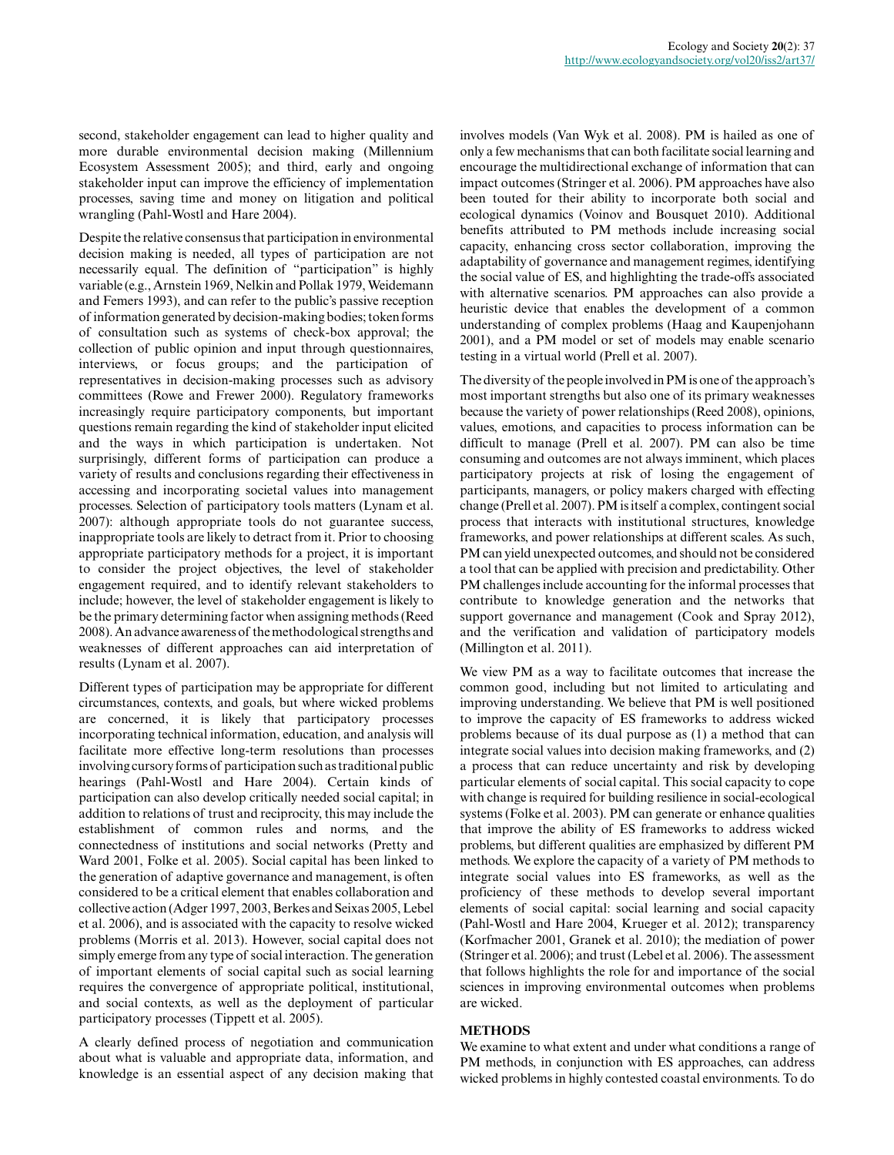second, stakeholder engagement can lead to higher quality and more durable environmental decision making (Millennium Ecosystem Assessment 2005); and third, early and ongoing stakeholder input can improve the efficiency of implementation processes, saving time and money on litigation and political wrangling (Pahl-Wostl and Hare 2004).

Despite the relative consensus that participation in environmental decision making is needed, all types of participation are not necessarily equal. The definition of "participation" is highly variable (e.g., Arnstein 1969, Nelkin and Pollak 1979, Weidemann and Femers 1993), and can refer to the public's passive reception of information generated by decision-making bodies; token forms of consultation such as systems of check-box approval; the collection of public opinion and input through questionnaires, interviews, or focus groups; and the participation of representatives in decision-making processes such as advisory committees (Rowe and Frewer 2000). Regulatory frameworks increasingly require participatory components, but important questions remain regarding the kind of stakeholder input elicited and the ways in which participation is undertaken. Not surprisingly, different forms of participation can produce a variety of results and conclusions regarding their effectiveness in accessing and incorporating societal values into management processes. Selection of participatory tools matters (Lynam et al. 2007): although appropriate tools do not guarantee success, inappropriate tools are likely to detract from it. Prior to choosing appropriate participatory methods for a project, it is important to consider the project objectives, the level of stakeholder engagement required, and to identify relevant stakeholders to include; however, the level of stakeholder engagement is likely to be the primary determining factor when assigning methods (Reed 2008). An advance awareness of the methodological strengths and weaknesses of different approaches can aid interpretation of results (Lynam et al. 2007).

Different types of participation may be appropriate for different circumstances, contexts, and goals, but where wicked problems are concerned, it is likely that participatory processes incorporating technical information, education, and analysis will facilitate more effective long-term resolutions than processes involving cursory forms of participation such as traditional public hearings (Pahl-Wostl and Hare 2004). Certain kinds of participation can also develop critically needed social capital; in addition to relations of trust and reciprocity, this may include the establishment of common rules and norms, and the connectedness of institutions and social networks (Pretty and Ward 2001, Folke et al. 2005). Social capital has been linked to the generation of adaptive governance and management, is often considered to be a critical element that enables collaboration and collective action (Adger 1997, 2003, Berkes and Seixas 2005, Lebel et al. 2006), and is associated with the capacity to resolve wicked problems (Morris et al. 2013). However, social capital does not simply emerge from any type of social interaction. The generation of important elements of social capital such as social learning requires the convergence of appropriate political, institutional, and social contexts, as well as the deployment of particular participatory processes (Tippett et al. 2005).

A clearly defined process of negotiation and communication about what is valuable and appropriate data, information, and knowledge is an essential aspect of any decision making that involves models (Van Wyk et al. 2008). PM is hailed as one of only a few mechanisms that can both facilitate social learning and encourage the multidirectional exchange of information that can impact outcomes (Stringer et al. 2006). PM approaches have also been touted for their ability to incorporate both social and ecological dynamics (Voinov and Bousquet 2010). Additional benefits attributed to PM methods include increasing social capacity, enhancing cross sector collaboration, improving the adaptability of governance and management regimes, identifying the social value of ES, and highlighting the trade-offs associated with alternative scenarios. PM approaches can also provide a heuristic device that enables the development of a common understanding of complex problems (Haag and Kaupenjohann 2001), and a PM model or set of models may enable scenario testing in a virtual world (Prell et al. 2007).

The diversity of the people involved in PM is one of the approach's most important strengths but also one of its primary weaknesses because the variety of power relationships (Reed 2008), opinions, values, emotions, and capacities to process information can be difficult to manage (Prell et al. 2007). PM can also be time consuming and outcomes are not always imminent, which places participatory projects at risk of losing the engagement of participants, managers, or policy makers charged with effecting change (Prell et al. 2007). PM is itself a complex, contingent social process that interacts with institutional structures, knowledge frameworks, and power relationships at different scales. As such, PM can yield unexpected outcomes, and should not be considered a tool that can be applied with precision and predictability. Other PM challenges include accounting for the informal processes that contribute to knowledge generation and the networks that support governance and management (Cook and Spray 2012), and the verification and validation of participatory models (Millington et al. 2011).

We view PM as a way to facilitate outcomes that increase the common good, including but not limited to articulating and improving understanding. We believe that PM is well positioned to improve the capacity of ES frameworks to address wicked problems because of its dual purpose as (1) a method that can integrate social values into decision making frameworks, and (2) a process that can reduce uncertainty and risk by developing particular elements of social capital. This social capacity to cope with change is required for building resilience in social-ecological systems (Folke et al. 2003). PM can generate or enhance qualities that improve the ability of ES frameworks to address wicked problems, but different qualities are emphasized by different PM methods. We explore the capacity of a variety of PM methods to integrate social values into ES frameworks, as well as the proficiency of these methods to develop several important elements of social capital: social learning and social capacity (Pahl-Wostl and Hare 2004, Krueger et al. 2012); transparency (Korfmacher 2001, Granek et al. 2010); the mediation of power (Stringer et al. 2006); and trust (Lebel et al. 2006). The assessment that follows highlights the role for and importance of the social sciences in improving environmental outcomes when problems are wicked.

# **METHODS**

We examine to what extent and under what conditions a range of PM methods, in conjunction with ES approaches, can address wicked problems in highly contested coastal environments. To do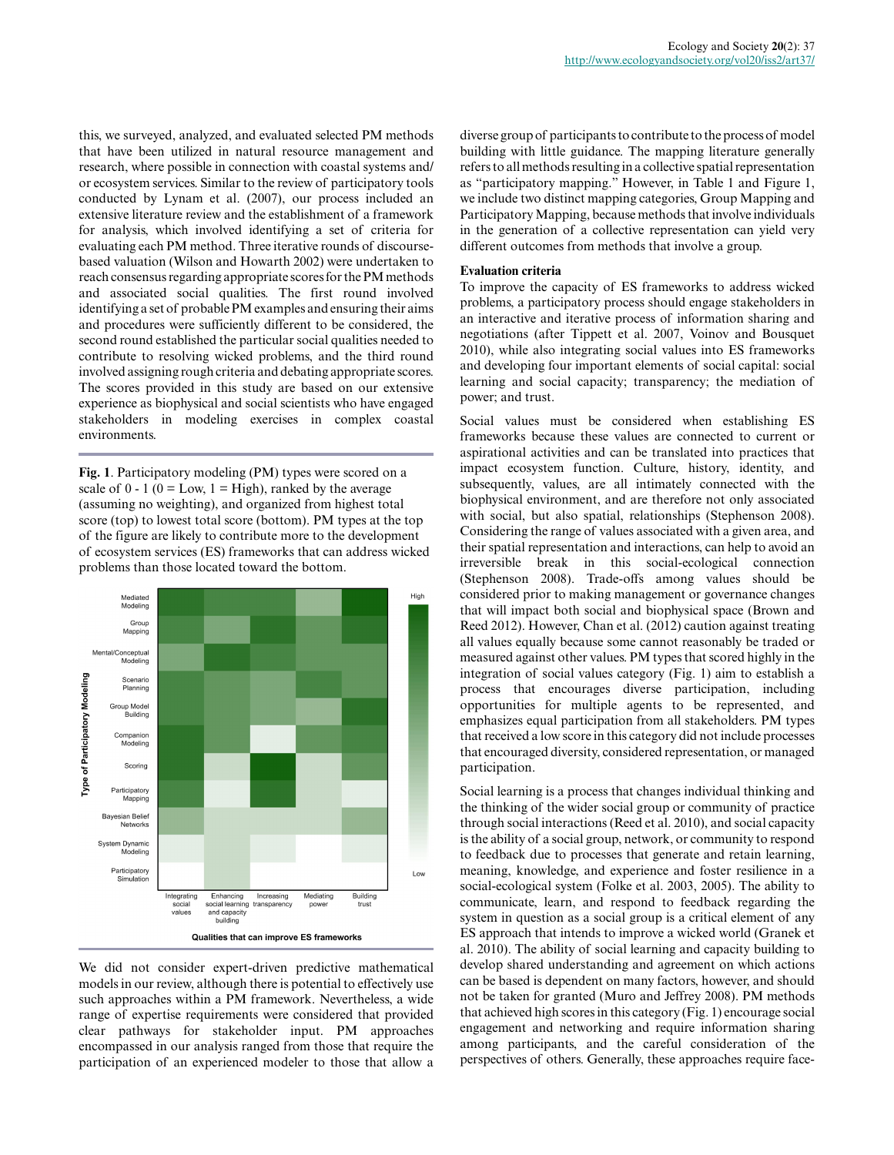this, we surveyed, analyzed, and evaluated selected PM methods that have been utilized in natural resource management and research, where possible in connection with coastal systems and/ or ecosystem services. Similar to the review of participatory tools conducted by Lynam et al. (2007), our process included an extensive literature review and the establishment of a framework for analysis, which involved identifying a set of criteria for evaluating each PM method. Three iterative rounds of discoursebased valuation (Wilson and Howarth 2002) were undertaken to reach consensus regarding appropriate scores for the PM methods and associated social qualities. The first round involved identifying a set of probable PM examples and ensuring their aims and procedures were sufficiently different to be considered, the second round established the particular social qualities needed to contribute to resolving wicked problems, and the third round involved assigning rough criteria and debating appropriate scores. The scores provided in this study are based on our extensive experience as biophysical and social scientists who have engaged stakeholders in modeling exercises in complex coastal environments.

**Fig. 1**. Participatory modeling (PM) types were scored on a scale of  $0 - 1$  ( $0 = Low$ ,  $1 = High$ ), ranked by the average (assuming no weighting), and organized from highest total score (top) to lowest total score (bottom). PM types at the top of the figure are likely to contribute more to the development of ecosystem services (ES) frameworks that can address wicked problems than those located toward the bottom.



We did not consider expert-driven predictive mathematical models in our review, although there is potential to effectively use such approaches within a PM framework. Nevertheless, a wide range of expertise requirements were considered that provided clear pathways for stakeholder input. PM approaches encompassed in our analysis ranged from those that require the participation of an experienced modeler to those that allow a diverse group of participants to contribute to the process of model building with little guidance. The mapping literature generally refers to all methods resulting in a collective spatial representation as "participatory mapping." However, in Table 1 and Figure 1, we include two distinct mapping categories, Group Mapping and Participatory Mapping, because methods that involve individuals in the generation of a collective representation can yield very different outcomes from methods that involve a group.

# **Evaluation criteria**

To improve the capacity of ES frameworks to address wicked problems, a participatory process should engage stakeholders in an interactive and iterative process of information sharing and negotiations (after Tippett et al. 2007, Voinov and Bousquet 2010), while also integrating social values into ES frameworks and developing four important elements of social capital: social learning and social capacity; transparency; the mediation of power; and trust.

Social values must be considered when establishing ES frameworks because these values are connected to current or aspirational activities and can be translated into practices that impact ecosystem function. Culture, history, identity, and subsequently, values, are all intimately connected with the biophysical environment, and are therefore not only associated with social, but also spatial, relationships (Stephenson 2008). Considering the range of values associated with a given area, and their spatial representation and interactions, can help to avoid an irreversible break in this social-ecological connection (Stephenson 2008). Trade-offs among values should be considered prior to making management or governance changes that will impact both social and biophysical space (Brown and Reed 2012). However, Chan et al. (2012) caution against treating all values equally because some cannot reasonably be traded or measured against other values. PM types that scored highly in the integration of social values category (Fig. 1) aim to establish a process that encourages diverse participation, including opportunities for multiple agents to be represented, and emphasizes equal participation from all stakeholders. PM types that received a low score in this category did not include processes that encouraged diversity, considered representation, or managed participation.

Social learning is a process that changes individual thinking and the thinking of the wider social group or community of practice through social interactions (Reed et al. 2010), and social capacity is the ability of a social group, network, or community to respond to feedback due to processes that generate and retain learning, meaning, knowledge, and experience and foster resilience in a social-ecological system (Folke et al. 2003, 2005). The ability to communicate, learn, and respond to feedback regarding the system in question as a social group is a critical element of any ES approach that intends to improve a wicked world (Granek et al. 2010). The ability of social learning and capacity building to develop shared understanding and agreement on which actions can be based is dependent on many factors, however, and should not be taken for granted (Muro and Jeffrey 2008). PM methods that achieved high scores in this category (Fig. 1) encourage social engagement and networking and require information sharing among participants, and the careful consideration of the perspectives of others. Generally, these approaches require face-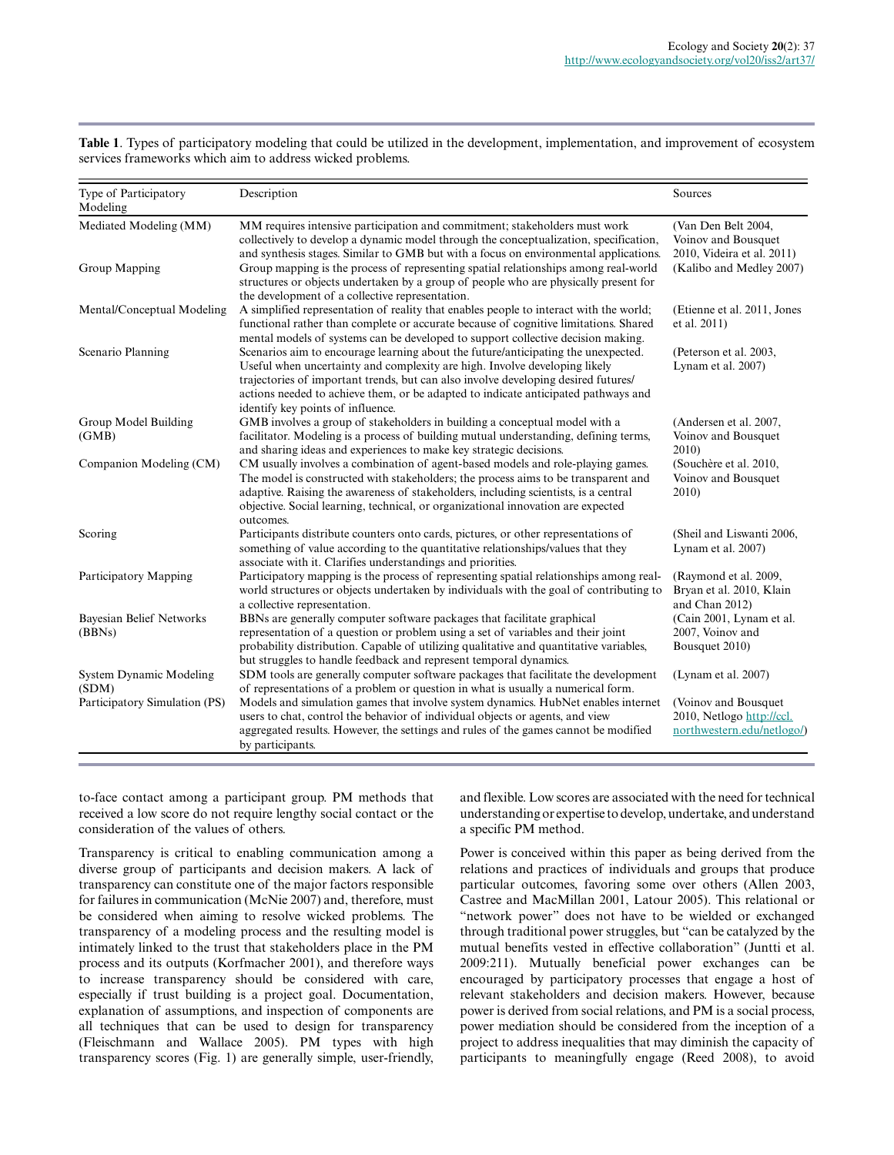| Type of Participatory<br>Modeling         | Description                                                                                                                                                                                                                                                                                                                                                                      | Sources                                                                          |
|-------------------------------------------|----------------------------------------------------------------------------------------------------------------------------------------------------------------------------------------------------------------------------------------------------------------------------------------------------------------------------------------------------------------------------------|----------------------------------------------------------------------------------|
| Mediated Modeling (MM)                    | MM requires intensive participation and commitment; stakeholders must work<br>collectively to develop a dynamic model through the conceptualization, specification,<br>and synthesis stages. Similar to GMB but with a focus on environmental applications.                                                                                                                      | (Van Den Belt 2004,<br>Voinov and Bousquet<br>2010, Videira et al. 2011)         |
| Group Mapping                             | Group mapping is the process of representing spatial relationships among real-world<br>structures or objects undertaken by a group of people who are physically present for<br>the development of a collective representation.                                                                                                                                                   | (Kalibo and Medley 2007)                                                         |
| Mental/Conceptual Modeling                | A simplified representation of reality that enables people to interact with the world;<br>functional rather than complete or accurate because of cognitive limitations. Shared<br>mental models of systems can be developed to support collective decision making.                                                                                                               | (Etienne et al. 2011, Jones<br>et al. 2011)                                      |
| Scenario Planning                         | Scenarios aim to encourage learning about the future/anticipating the unexpected.<br>Useful when uncertainty and complexity are high. Involve developing likely<br>trajectories of important trends, but can also involve developing desired futures/<br>actions needed to achieve them, or be adapted to indicate anticipated pathways and<br>identify key points of influence. | (Peterson et al. 2003,<br>Lynam et al. 2007)                                     |
| Group Model Building<br>(GMB)             | GMB involves a group of stakeholders in building a conceptual model with a<br>facilitator. Modeling is a process of building mutual understanding, defining terms,<br>and sharing ideas and experiences to make key strategic decisions.                                                                                                                                         | (Andersen et al. 2007,<br>Voinov and Bousquet<br>2010)                           |
| Companion Modeling (CM)                   | CM usually involves a combination of agent-based models and role-playing games.<br>The model is constructed with stakeholders; the process aims to be transparent and<br>adaptive. Raising the awareness of stakeholders, including scientists, is a central<br>objective. Social learning, technical, or organizational innovation are expected<br>outcomes.                    | (Souchère et al. 2010,<br>Voinov and Bousquet<br>2010)                           |
| Scoring                                   | Participants distribute counters onto cards, pictures, or other representations of<br>something of value according to the quantitative relationships/values that they<br>associate with it. Clarifies understandings and priorities.                                                                                                                                             | (Sheil and Liswanti 2006,<br>Lynam et al. 2007)                                  |
| Participatory Mapping                     | Participatory mapping is the process of representing spatial relationships among real-<br>world structures or objects undertaken by individuals with the goal of contributing to<br>a collective representation.                                                                                                                                                                 | (Raymond et al. 2009,<br>Bryan et al. 2010, Klain<br>and Chan 2012)              |
| <b>Bayesian Belief Networks</b><br>(BBNs) | BBNs are generally computer software packages that facilitate graphical<br>representation of a question or problem using a set of variables and their joint<br>probability distribution. Capable of utilizing qualitative and quantitative variables,<br>but struggles to handle feedback and represent temporal dynamics.                                                       | (Cain 2001, Lynam et al.<br>2007, Voinov and<br>Bousquet 2010)                   |
| System Dynamic Modeling<br>(SDM)          | SDM tools are generally computer software packages that facilitate the development<br>of representations of a problem or question in what is usually a numerical form.                                                                                                                                                                                                           | (Lynam et al. 2007)                                                              |
| Participatory Simulation (PS)             | Models and simulation games that involve system dynamics. HubNet enables internet<br>users to chat, control the behavior of individual objects or agents, and view<br>aggregated results. However, the settings and rules of the games cannot be modified<br>by participants.                                                                                                    | (Voinov and Bousquet)<br>2010, Netlogo http://ccl.<br>northwestern.edu/netlogo/) |

**Table 1**. Types of participatory modeling that could be utilized in the development, implementation, and improvement of ecosystem services frameworks which aim to address wicked problems.

to-face contact among a participant group. PM methods that received a low score do not require lengthy social contact or the consideration of the values of others.

Transparency is critical to enabling communication among a diverse group of participants and decision makers. A lack of transparency can constitute one of the major factors responsible for failures in communication (McNie 2007) and, therefore, must be considered when aiming to resolve wicked problems. The transparency of a modeling process and the resulting model is intimately linked to the trust that stakeholders place in the PM process and its outputs (Korfmacher 2001), and therefore ways to increase transparency should be considered with care, especially if trust building is a project goal. Documentation, explanation of assumptions, and inspection of components are all techniques that can be used to design for transparency (Fleischmann and Wallace 2005). PM types with high transparency scores (Fig. 1) are generally simple, user-friendly, and flexible. Low scores are associated with the need for technical understanding or expertise to develop, undertake, and understand a specific PM method.

Power is conceived within this paper as being derived from the relations and practices of individuals and groups that produce particular outcomes, favoring some over others (Allen 2003, Castree and MacMillan 2001, Latour 2005). This relational or "network power" does not have to be wielded or exchanged through traditional power struggles, but "can be catalyzed by the mutual benefits vested in effective collaboration" (Juntti et al. 2009:211). Mutually beneficial power exchanges can be encouraged by participatory processes that engage a host of relevant stakeholders and decision makers. However, because power is derived from social relations, and PM is a social process, power mediation should be considered from the inception of a project to address inequalities that may diminish the capacity of participants to meaningfully engage (Reed 2008), to avoid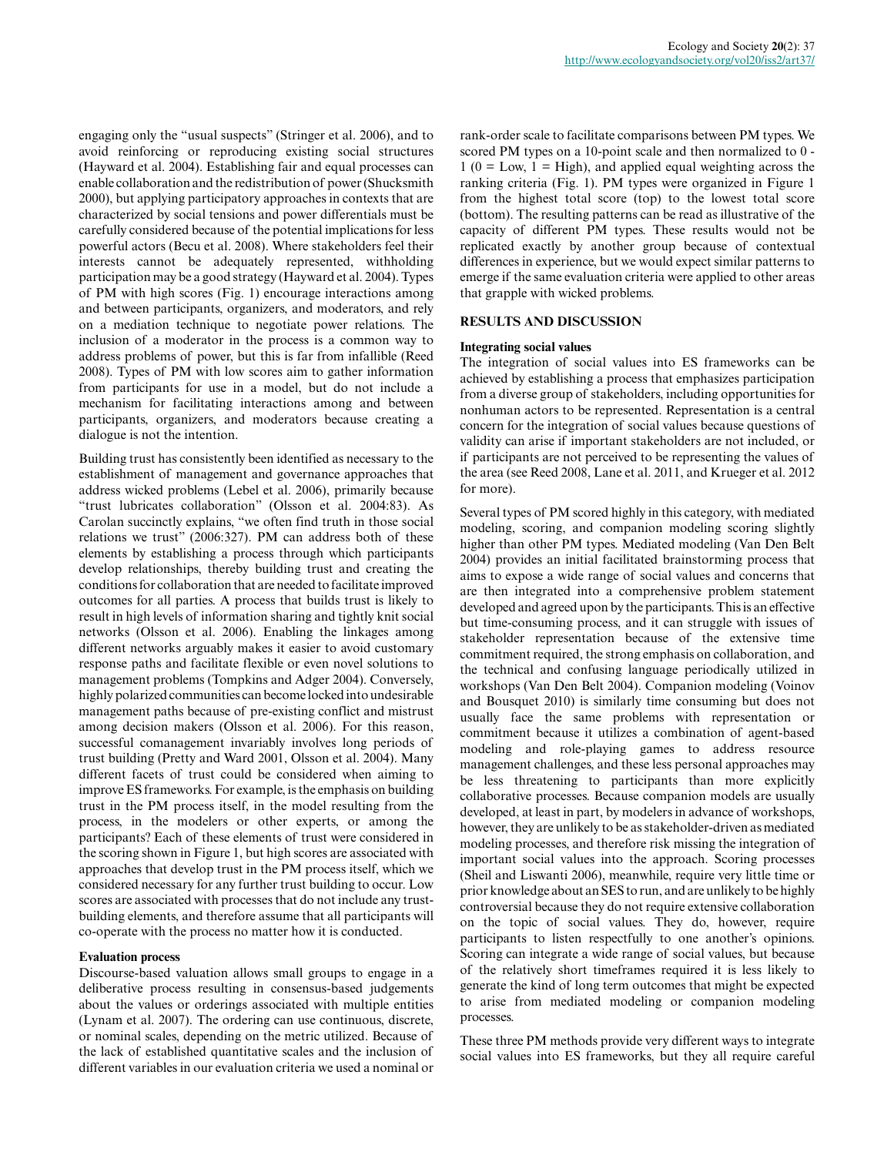engaging only the "usual suspects" (Stringer et al. 2006), and to avoid reinforcing or reproducing existing social structures (Hayward et al. 2004). Establishing fair and equal processes can enable collaboration and the redistribution of power (Shucksmith 2000), but applying participatory approaches in contexts that are characterized by social tensions and power differentials must be carefully considered because of the potential implications for less powerful actors (Becu et al. 2008). Where stakeholders feel their interests cannot be adequately represented, withholding participation may be a good strategy (Hayward et al. 2004). Types of PM with high scores (Fig. 1) encourage interactions among and between participants, organizers, and moderators, and rely on a mediation technique to negotiate power relations. The inclusion of a moderator in the process is a common way to address problems of power, but this is far from infallible (Reed 2008). Types of PM with low scores aim to gather information from participants for use in a model, but do not include a mechanism for facilitating interactions among and between participants, organizers, and moderators because creating a dialogue is not the intention.

Building trust has consistently been identified as necessary to the establishment of management and governance approaches that address wicked problems (Lebel et al. 2006), primarily because "trust lubricates collaboration" (Olsson et al. 2004:83). As Carolan succinctly explains, "we often find truth in those social relations we trust" (2006:327). PM can address both of these elements by establishing a process through which participants develop relationships, thereby building trust and creating the conditions for collaboration that are needed to facilitate improved outcomes for all parties. A process that builds trust is likely to result in high levels of information sharing and tightly knit social networks (Olsson et al. 2006). Enabling the linkages among different networks arguably makes it easier to avoid customary response paths and facilitate flexible or even novel solutions to management problems (Tompkins and Adger 2004). Conversely, highly polarized communities can become locked into undesirable management paths because of pre-existing conflict and mistrust among decision makers (Olsson et al. 2006). For this reason, successful comanagement invariably involves long periods of trust building (Pretty and Ward 2001, Olsson et al. 2004). Many different facets of trust could be considered when aiming to improve ES frameworks. For example, is the emphasis on building trust in the PM process itself, in the model resulting from the process, in the modelers or other experts, or among the participants? Each of these elements of trust were considered in the scoring shown in Figure 1, but high scores are associated with approaches that develop trust in the PM process itself, which we considered necessary for any further trust building to occur. Low scores are associated with processes that do not include any trustbuilding elements, and therefore assume that all participants will co-operate with the process no matter how it is conducted.

## **Evaluation process**

Discourse-based valuation allows small groups to engage in a deliberative process resulting in consensus-based judgements about the values or orderings associated with multiple entities (Lynam et al. 2007). The ordering can use continuous, discrete, or nominal scales, depending on the metric utilized. Because of the lack of established quantitative scales and the inclusion of different variables in our evaluation criteria we used a nominal or

rank-order scale to facilitate comparisons between PM types. We scored PM types on a 10-point scale and then normalized to 0 -  $1 (0 = Low, 1 = High)$ , and applied equal weighting across the ranking criteria (Fig. 1). PM types were organized in Figure 1 from the highest total score (top) to the lowest total score (bottom). The resulting patterns can be read as illustrative of the capacity of different PM types. These results would not be replicated exactly by another group because of contextual differences in experience, but we would expect similar patterns to emerge if the same evaluation criteria were applied to other areas that grapple with wicked problems.

# **RESULTS AND DISCUSSION**

#### **Integrating social values**

The integration of social values into ES frameworks can be achieved by establishing a process that emphasizes participation from a diverse group of stakeholders, including opportunities for nonhuman actors to be represented. Representation is a central concern for the integration of social values because questions of validity can arise if important stakeholders are not included, or if participants are not perceived to be representing the values of the area (see Reed 2008, Lane et al. 2011, and Krueger et al. 2012 for more).

Several types of PM scored highly in this category, with mediated modeling, scoring, and companion modeling scoring slightly higher than other PM types. Mediated modeling (Van Den Belt 2004) provides an initial facilitated brainstorming process that aims to expose a wide range of social values and concerns that are then integrated into a comprehensive problem statement developed and agreed upon by the participants. This is an effective but time-consuming process, and it can struggle with issues of stakeholder representation because of the extensive time commitment required, the strong emphasis on collaboration, and the technical and confusing language periodically utilized in workshops (Van Den Belt 2004). Companion modeling (Voinov and Bousquet 2010) is similarly time consuming but does not usually face the same problems with representation or commitment because it utilizes a combination of agent-based modeling and role-playing games to address resource management challenges, and these less personal approaches may be less threatening to participants than more explicitly collaborative processes. Because companion models are usually developed, at least in part, by modelers in advance of workshops, however, they are unlikely to be as stakeholder-driven as mediated modeling processes, and therefore risk missing the integration of important social values into the approach. Scoring processes (Sheil and Liswanti 2006), meanwhile, require very little time or prior knowledge about an SES to run, and are unlikely to be highly controversial because they do not require extensive collaboration on the topic of social values. They do, however, require participants to listen respectfully to one another's opinions. Scoring can integrate a wide range of social values, but because of the relatively short timeframes required it is less likely to generate the kind of long term outcomes that might be expected to arise from mediated modeling or companion modeling processes.

These three PM methods provide very different ways to integrate social values into ES frameworks, but they all require careful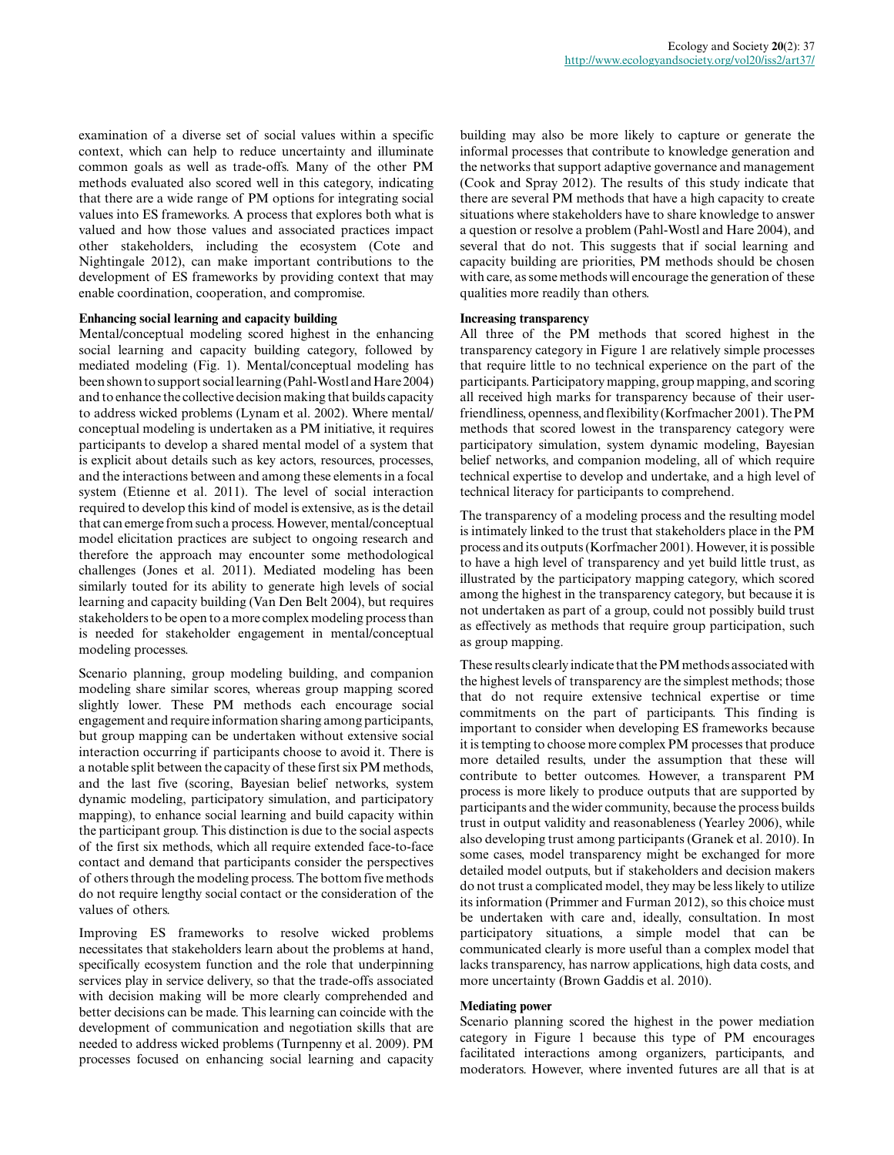examination of a diverse set of social values within a specific context, which can help to reduce uncertainty and illuminate common goals as well as trade-offs. Many of the other PM methods evaluated also scored well in this category, indicating that there are a wide range of PM options for integrating social values into ES frameworks. A process that explores both what is valued and how those values and associated practices impact other stakeholders, including the ecosystem (Cote and Nightingale 2012), can make important contributions to the development of ES frameworks by providing context that may enable coordination, cooperation, and compromise.

#### **Enhancing social learning and capacity building**

Mental/conceptual modeling scored highest in the enhancing social learning and capacity building category, followed by mediated modeling (Fig. 1). Mental/conceptual modeling has been shown to support social learning (Pahl-Wostl and Hare 2004) and to enhance the collective decision making that builds capacity to address wicked problems (Lynam et al. 2002). Where mental/ conceptual modeling is undertaken as a PM initiative, it requires participants to develop a shared mental model of a system that is explicit about details such as key actors, resources, processes, and the interactions between and among these elements in a focal system (Etienne et al. 2011). The level of social interaction required to develop this kind of model is extensive, as is the detail that can emerge from such a process. However, mental/conceptual model elicitation practices are subject to ongoing research and therefore the approach may encounter some methodological challenges (Jones et al. 2011). Mediated modeling has been similarly touted for its ability to generate high levels of social learning and capacity building (Van Den Belt 2004), but requires stakeholders to be open to a more complex modeling process than is needed for stakeholder engagement in mental/conceptual modeling processes.

Scenario planning, group modeling building, and companion modeling share similar scores, whereas group mapping scored slightly lower. These PM methods each encourage social engagement and require information sharing among participants, but group mapping can be undertaken without extensive social interaction occurring if participants choose to avoid it. There is a notable split between the capacity of these first six PM methods, and the last five (scoring, Bayesian belief networks, system dynamic modeling, participatory simulation, and participatory mapping), to enhance social learning and build capacity within the participant group. This distinction is due to the social aspects of the first six methods, which all require extended face-to-face contact and demand that participants consider the perspectives of others through the modeling process. The bottom five methods do not require lengthy social contact or the consideration of the values of others.

Improving ES frameworks to resolve wicked problems necessitates that stakeholders learn about the problems at hand, specifically ecosystem function and the role that underpinning services play in service delivery, so that the trade-offs associated with decision making will be more clearly comprehended and better decisions can be made. This learning can coincide with the development of communication and negotiation skills that are needed to address wicked problems (Turnpenny et al. 2009). PM processes focused on enhancing social learning and capacity

building may also be more likely to capture or generate the informal processes that contribute to knowledge generation and the networks that support adaptive governance and management (Cook and Spray 2012). The results of this study indicate that there are several PM methods that have a high capacity to create situations where stakeholders have to share knowledge to answer a question or resolve a problem (Pahl-Wostl and Hare 2004), and several that do not. This suggests that if social learning and capacity building are priorities, PM methods should be chosen with care, as some methods will encourage the generation of these qualities more readily than others.

#### **Increasing transparency**

All three of the PM methods that scored highest in the transparency category in Figure 1 are relatively simple processes that require little to no technical experience on the part of the participants. Participatory mapping, group mapping, and scoring all received high marks for transparency because of their userfriendliness, openness, and flexibility (Korfmacher 2001). The PM methods that scored lowest in the transparency category were participatory simulation, system dynamic modeling, Bayesian belief networks, and companion modeling, all of which require technical expertise to develop and undertake, and a high level of technical literacy for participants to comprehend.

The transparency of a modeling process and the resulting model is intimately linked to the trust that stakeholders place in the PM process and its outputs (Korfmacher 2001). However, it is possible to have a high level of transparency and yet build little trust, as illustrated by the participatory mapping category, which scored among the highest in the transparency category, but because it is not undertaken as part of a group, could not possibly build trust as effectively as methods that require group participation, such as group mapping.

These results clearly indicate that the PM methods associated with the highest levels of transparency are the simplest methods; those that do not require extensive technical expertise or time commitments on the part of participants. This finding is important to consider when developing ES frameworks because it is tempting to choose more complex PM processes that produce more detailed results, under the assumption that these will contribute to better outcomes. However, a transparent PM process is more likely to produce outputs that are supported by participants and the wider community, because the process builds trust in output validity and reasonableness (Yearley 2006), while also developing trust among participants (Granek et al. 2010). In some cases, model transparency might be exchanged for more detailed model outputs, but if stakeholders and decision makers do not trust a complicated model, they may be less likely to utilize its information (Primmer and Furman 2012), so this choice must be undertaken with care and, ideally, consultation. In most participatory situations, a simple model that can be communicated clearly is more useful than a complex model that lacks transparency, has narrow applications, high data costs, and more uncertainty (Brown Gaddis et al. 2010).

#### **Mediating power**

Scenario planning scored the highest in the power mediation category in Figure 1 because this type of PM encourages facilitated interactions among organizers, participants, and moderators. However, where invented futures are all that is at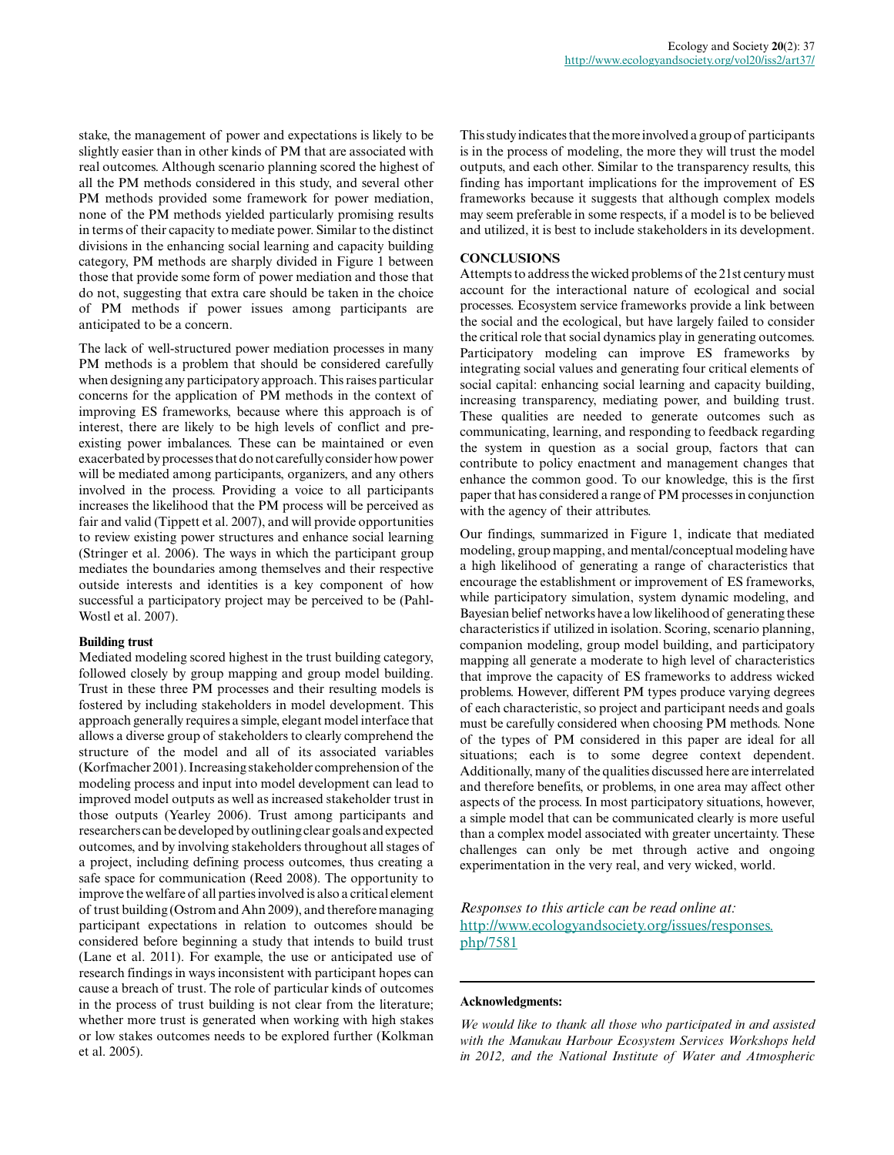stake, the management of power and expectations is likely to be slightly easier than in other kinds of PM that are associated with real outcomes. Although scenario planning scored the highest of all the PM methods considered in this study, and several other PM methods provided some framework for power mediation, none of the PM methods yielded particularly promising results in terms of their capacity to mediate power. Similar to the distinct divisions in the enhancing social learning and capacity building category, PM methods are sharply divided in Figure 1 between those that provide some form of power mediation and those that do not, suggesting that extra care should be taken in the choice of PM methods if power issues among participants are anticipated to be a concern.

The lack of well-structured power mediation processes in many PM methods is a problem that should be considered carefully when designing any participatory approach. This raises particular concerns for the application of PM methods in the context of improving ES frameworks, because where this approach is of interest, there are likely to be high levels of conflict and preexisting power imbalances. These can be maintained or even exacerbated by processes that do not carefully consider how power will be mediated among participants, organizers, and any others involved in the process. Providing a voice to all participants increases the likelihood that the PM process will be perceived as fair and valid (Tippett et al. 2007), and will provide opportunities to review existing power structures and enhance social learning (Stringer et al. 2006). The ways in which the participant group mediates the boundaries among themselves and their respective outside interests and identities is a key component of how successful a participatory project may be perceived to be (Pahl-Wostl et al. 2007).

## **Building trust**

Mediated modeling scored highest in the trust building category, followed closely by group mapping and group model building. Trust in these three PM processes and their resulting models is fostered by including stakeholders in model development. This approach generally requires a simple, elegant model interface that allows a diverse group of stakeholders to clearly comprehend the structure of the model and all of its associated variables (Korfmacher 2001). Increasing stakeholder comprehension of the modeling process and input into model development can lead to improved model outputs as well as increased stakeholder trust in those outputs (Yearley 2006). Trust among participants and researchers can be developed by outlining clear goals and expected outcomes, and by involving stakeholders throughout all stages of a project, including defining process outcomes, thus creating a safe space for communication (Reed 2008). The opportunity to improve the welfare of all parties involved is also a critical element of trust building (Ostrom and Ahn 2009), and therefore managing participant expectations in relation to outcomes should be considered before beginning a study that intends to build trust (Lane et al. 2011). For example, the use or anticipated use of research findings in ways inconsistent with participant hopes can cause a breach of trust. The role of particular kinds of outcomes in the process of trust building is not clear from the literature; whether more trust is generated when working with high stakes or low stakes outcomes needs to be explored further (Kolkman et al. 2005).

This study indicates that the more involved a group of participants is in the process of modeling, the more they will trust the model outputs, and each other. Similar to the transparency results, this finding has important implications for the improvement of ES frameworks because it suggests that although complex models may seem preferable in some respects, if a model is to be believed and utilized, it is best to include stakeholders in its development.

# **CONCLUSIONS**

Attempts to address the wicked problems of the 21st century must account for the interactional nature of ecological and social processes. Ecosystem service frameworks provide a link between the social and the ecological, but have largely failed to consider the critical role that social dynamics play in generating outcomes. Participatory modeling can improve ES frameworks by integrating social values and generating four critical elements of social capital: enhancing social learning and capacity building. increasing transparency, mediating power, and building trust. These qualities are needed to generate outcomes such as communicating, learning, and responding to feedback regarding the system in question as a social group, factors that can contribute to policy enactment and management changes that enhance the common good. To our knowledge, this is the first paper that has considered a range of PM processes in conjunction with the agency of their attributes.

Our findings, summarized in Figure 1, indicate that mediated modeling, group mapping, and mental/conceptual modeling have a high likelihood of generating a range of characteristics that encourage the establishment or improvement of ES frameworks, while participatory simulation, system dynamic modeling, and Bayesian belief networks have a low likelihood of generating these characteristics if utilized in isolation. Scoring, scenario planning, companion modeling, group model building, and participatory mapping all generate a moderate to high level of characteristics that improve the capacity of ES frameworks to address wicked problems. However, different PM types produce varying degrees of each characteristic, so project and participant needs and goals must be carefully considered when choosing PM methods. None of the types of PM considered in this paper are ideal for all situations; each is to some degree context dependent. Additionally, many of the qualities discussed here are interrelated and therefore benefits, or problems, in one area may affect other aspects of the process. In most participatory situations, however, a simple model that can be communicated clearly is more useful than a complex model associated with greater uncertainty. These challenges can only be met through active and ongoing experimentation in the very real, and very wicked, world.

# *Responses to this article can be read online at:* [http://www.ecologyandsociety.org/issues/responses.](http://www.ecologyandsociety.org/issues/responses.php/7581) [php/7581](http://www.ecologyandsociety.org/issues/responses.php/7581)

# **Acknowledgments:**

*We would like to thank all those who participated in and assisted with the Manukau Harbour Ecosystem Services Workshops held in 2012, and the National Institute of Water and Atmospheric*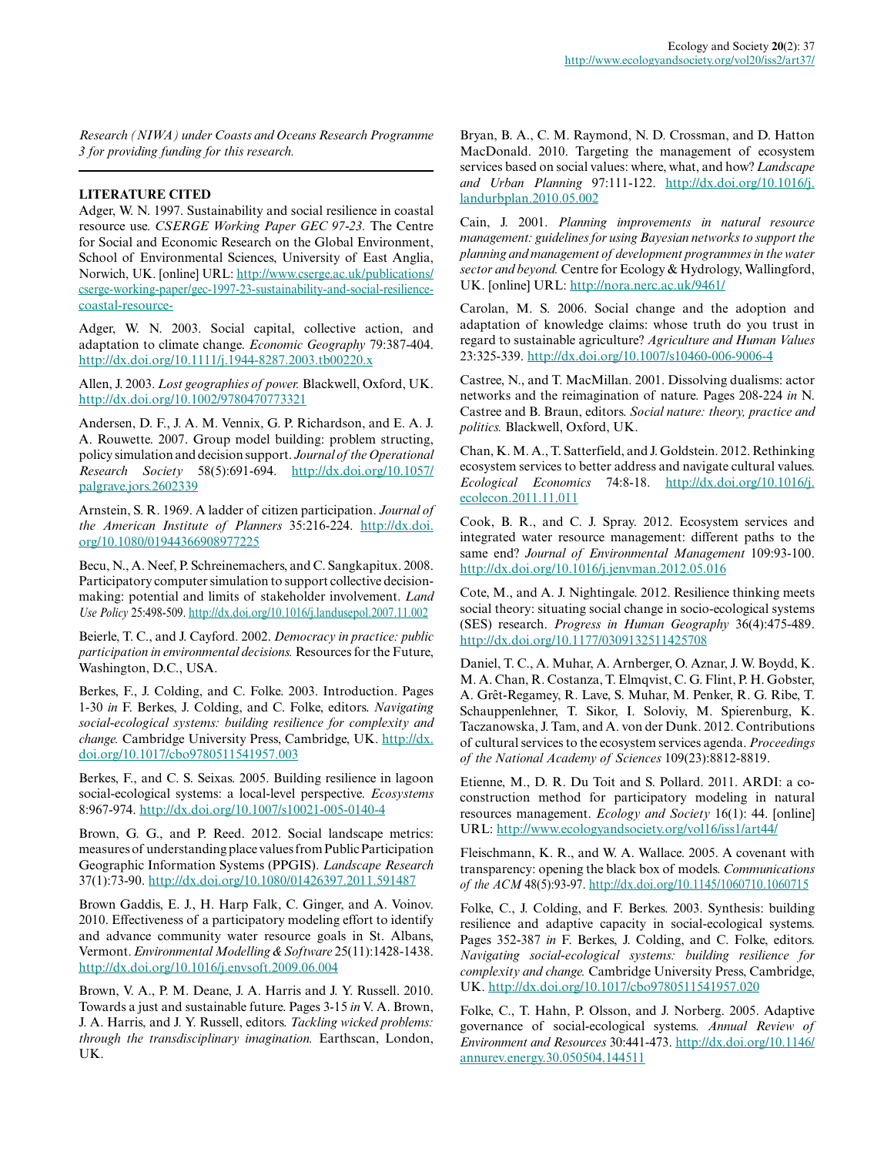*Research (NIWA) under Coasts and Oceans Research Programme 3 for providing funding for this research.*

# **LITERATURE CITED**

Adger, W. N. 1997. Sustainability and social resilience in coastal resource use. *CSERGE Working Paper GEC 97-23.* The Centre for Social and Economic Research on the Global Environment, School of Environmental Sciences, University of East Anglia, Norwich, UK. [online] URL: [http://www.cserge.ac.uk/publications/](http://www.cserge.ac.uk/publications/cserge-working-paper/gec-1997-23-sustainability-and-social-resilience-coastal-resource-) [cserge-working-paper/gec-1997-23-sustainability-and-social-resilience](http://www.cserge.ac.uk/publications/cserge-working-paper/gec-1997-23-sustainability-and-social-resilience-coastal-resource-)[coastal-resource-](http://www.cserge.ac.uk/publications/cserge-working-paper/gec-1997-23-sustainability-and-social-resilience-coastal-resource-)

Adger, W. N. 2003. Social capital, collective action, and adaptation to climate change. *Economic Geography* 79:387-404. [http://dx.doi.org/10.1111/j.1944-8287.2003.tb00220.x](http://dx.doi.org/10.1111%2Fj.1944-8287.2003.tb00220.x)

Allen, J. 2003. *Lost geographies of power.* Blackwell, Oxford, UK. [http://dx.doi.org/10.1002/9780470773321](http://dx.doi.org/10.1002%2F9780470773321) 

Andersen, D. F., J. A. M. Vennix, G. P. Richardson, and E. A. J. A. Rouwette. 2007. Group model building: problem structing, policy simulation and decision support. *Journal of the Operational Research Society* 58(5):691-694. [http://dx.doi.org/10.1057/](http://dx.doi.org/10.1057%2Fpalgrave.jors.2602339) [palgrave.jors.2602339](http://dx.doi.org/10.1057%2Fpalgrave.jors.2602339) 

Arnstein, S. R. 1969. A ladder of citizen participation. *Journal of the American Institute of Planners* 35:216-224. [http://dx.doi.](http://dx.doi.org/10.1080%2F01944366908977225) [org/10.1080/01944366908977225](http://dx.doi.org/10.1080%2F01944366908977225) 

Becu, N., A. Neef, P. Schreinemachers, and C. Sangkapitux. 2008. Participatory computer simulation to support collective decisionmaking: potential and limits of stakeholder involvement. *Land Use Policy* 25:498-509. [http://dx.doi.org/10.1016/j.landusepol.2007.11.002](http://dx.doi.org/10.1016%2Fj.landusepol.2007.11.002)

Beierle, T. C., and J. Cayford. 2002. *Democracy in practice: public participation in environmental decisions.* Resources for the Future, Washington, D.C., USA.

Berkes, F., J. Colding, and C. Folke. 2003. Introduction. Pages 1-30 *in* F. Berkes, J. Colding, and C. Folke, editors. *Navigating social-ecological systems: building resilience for complexity and change.* Cambridge University Press, Cambridge, UK. [http://dx.](http://dx.doi.org/10.1017%2Fcbo9780511541957.003) [doi.org/10.1017/cbo9780511541957.003](http://dx.doi.org/10.1017%2Fcbo9780511541957.003)

Berkes, F., and C. S. Seixas. 2005. Building resilience in lagoon social-ecological systems: a local-level perspective. *Ecosystems* 8:967-974. [http://dx.doi.org/10.1007/s10021-005-0140-4](http://dx.doi.org/10.1007%2Fs10021-005-0140-4) 

Brown, G. G., and P. Reed. 2012. Social landscape metrics: measures of understanding place values from Public Participation Geographic Information Systems (PPGIS). *Landscape Research* 37(1):73-90. [http://dx.doi.org/10.1080/01426397.2011.591487](http://dx.doi.org/10.1080%2F01426397.2011.591487) 

Brown Gaddis, E. J., H. Harp Falk, C. Ginger, and A. Voinov. 2010. Effectiveness of a participatory modeling effort to identify and advance community water resource goals in St. Albans, Vermont. *Environmental Modelling & Software* 25(11):1428-1438. [http://dx.doi.org/10.1016/j.envsoft.2009.06.004](http://dx.doi.org/10.1016%2Fj.envsoft.2009.06.004) 

Brown, V. A., P. M. Deane, J. A. Harris and J. Y. Russell. 2010. Towards a just and sustainable future. Pages 3-15 *in* V. A. Brown, J. A. Harris, and J. Y. Russell, editors. *Tackling wicked problems: through the transdisciplinary imagination.* Earthscan, London, UK.

Bryan, B. A., C. M. Raymond, N. D. Crossman, and D. Hatton MacDonald. 2010. Targeting the management of ecosystem services based on social values: where, what, and how? *Landscape and Urban Planning* 97:111-122. [http://dx.doi.org/10.1016/j.](http://dx.doi.org/10.1016%2Fj.landurbplan.2010.05.002) [landurbplan.2010.05.002](http://dx.doi.org/10.1016%2Fj.landurbplan.2010.05.002) 

Cain, J. 2001. *Planning improvements in natural resource management: guidelines for using Bayesian networks to support the planning and management of development programmes in the water sector and beyond.* Centre for Ecology & Hydrology, Wallingford, UK. [online] URL:<http://nora.nerc.ac.uk/9461/>

Carolan, M. S. 2006. Social change and the adoption and adaptation of knowledge claims: whose truth do you trust in regard to sustainable agriculture? *Agriculture and Human Values* 23:325-339. [http://dx.doi.org/10.1007/s10460-006-9006-4](http://dx.doi.org/10.1007%2Fs10460-006-9006-4)

Castree, N., and T. MacMillan. 2001. Dissolving dualisms: actor networks and the reimagination of nature. Pages 208-224 *in* N. Castree and B. Braun, editors. *Social nature: theory, practice and politics.* Blackwell, Oxford, UK.

Chan, K. M. A., T. Satterfield, and J. Goldstein. 2012. Rethinking ecosystem services to better address and navigate cultural values. *Ecological Economics* 74:8-18. [http://dx.doi.org/10.1016/j.](http://dx.doi.org/10.1016%2Fj.ecolecon.2011.11.011) [ecolecon.2011.11.011](http://dx.doi.org/10.1016%2Fj.ecolecon.2011.11.011) 

Cook, B. R., and C. J. Spray. 2012. Ecosystem services and integrated water resource management: different paths to the same end? *Journal of Environmental Management* 109:93-100. [http://dx.doi.org/10.1016/j.jenvman.2012.05.016](http://dx.doi.org/10.1016%2Fj.jenvman.2012.05.016)

Cote, M., and A. J. Nightingale. 2012. Resilience thinking meets social theory: situating social change in socio-ecological systems (SES) research. *Progress in Human Geography* 36(4):475-489. [http://dx.doi.org/10.1177/0309132511425708](http://dx.doi.org/10.1177%2F0309132511425708)

Daniel, T. C., A. Muhar, A. Arnberger, O. Aznar, J. W. Boydd, K. M. A. Chan, R. Costanza, T. Elmqvist, C. G. Flint, P. H. Gobster, A. Grêt-Regamey, R. Lave, S. Muhar, M. Penker, R. G. Ribe, T. Schauppenlehner, T. Sikor, I. Soloviy, M. Spierenburg, K. Taczanowska, J. Tam, and A. von der Dunk. 2012. Contributions of cultural services to the ecosystem services agenda. *Proceedings of the National Academy of Sciences* 109(23):8812-8819.

Etienne, M., D. R. Du Toit and S. Pollard. 2011. ARDI: a coconstruction method for participatory modeling in natural resources management. *Ecology and Society* 16(1): 44. [online] URL:<http://www.ecologyandsociety.org/vol16/iss1/art44/>

Fleischmann, K. R., and W. A. Wallace. 2005. A covenant with transparency: opening the black box of models. *Communications of the ACM* 48(5):93-97. [http://dx.doi.org/10.1145/1060710.1060715](http://dx.doi.org/10.1145%2F1060710.1060715) 

Folke, C., J. Colding, and F. Berkes. 2003. Synthesis: building resilience and adaptive capacity in social-ecological systems. Pages 352-387 *in* F. Berkes, J. Colding, and C. Folke, editors. *Navigating social-ecological systems: building resilience for complexity and change.* Cambridge University Press, Cambridge, UK. [http://dx.doi.org/10.1017/cbo9780511541957.020](http://dx.doi.org/10.1017%2Fcbo9780511541957.020)

Folke, C., T. Hahn, P. Olsson, and J. Norberg. 2005. Adaptive governance of social-ecological systems. *Annual Review of Environment and Resources* 30:441-473. [http://dx.doi.org/10.1146/](http://dx.doi.org/10.1146%2Fannurev.energy.30.050504.144511) [annurev.energy.30.050504.144511](http://dx.doi.org/10.1146%2Fannurev.energy.30.050504.144511)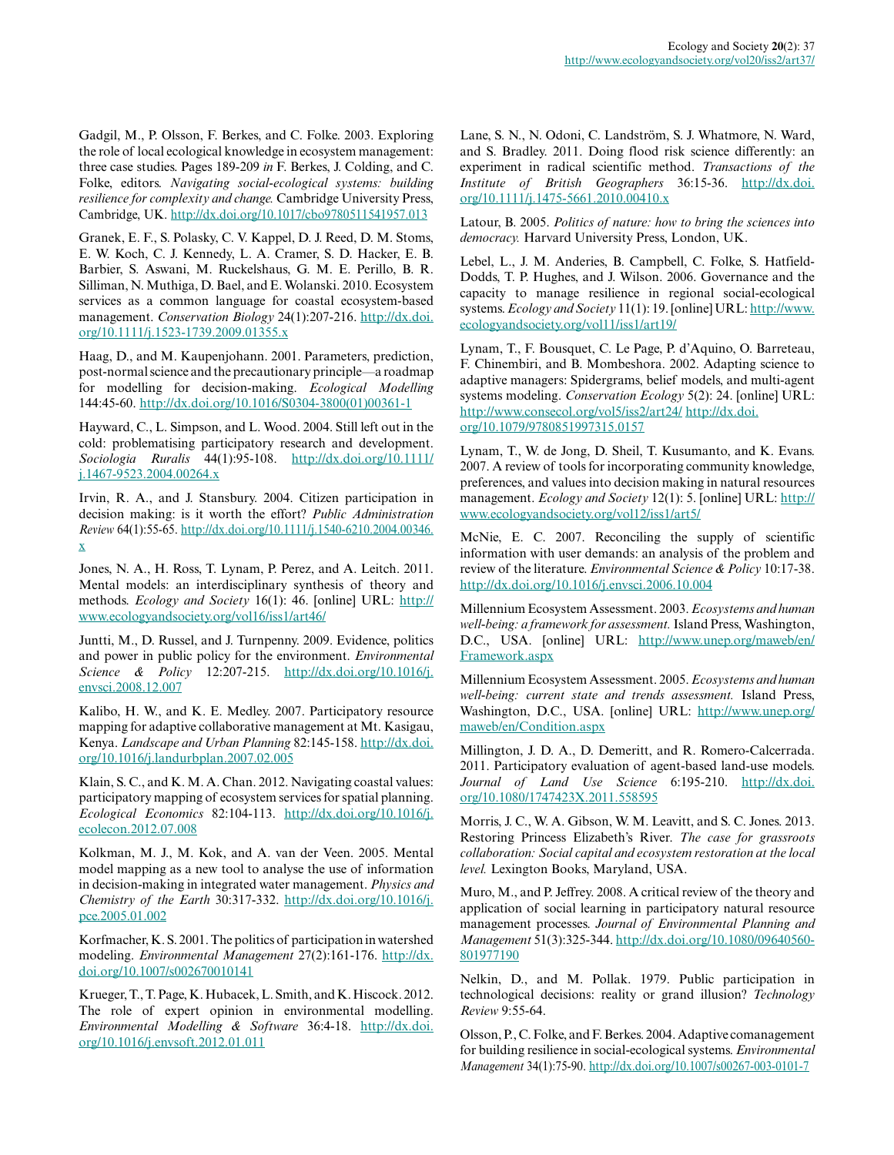Gadgil, M., P. Olsson, F. Berkes, and C. Folke. 2003. Exploring the role of local ecological knowledge in ecosystem management: three case studies. Pages 189-209 *in* F. Berkes, J. Colding, and C. Folke, editors. *Navigating social-ecological systems: building resilience for complexity and change.* Cambridge University Press, Cambridge, UK. [http://dx.doi.org/10.1017/cbo9780511541957.013](http://dx.doi.org/10.1017%2Fcbo9780511541957.013) 

Granek, E. F., S. Polasky, C. V. Kappel, D. J. Reed, D. M. Stoms, E. W. Koch, C. J. Kennedy, L. A. Cramer, S. D. Hacker, E. B. Barbier, S. Aswani, M. Ruckelshaus, G. M. E. Perillo, B. R. Silliman, N. Muthiga, D. Bael, and E. Wolanski. 2010. Ecosystem services as a common language for coastal ecosystem-based management. *Conservation Biology* 24(1):207-216. [http://dx.doi.](http://dx.doi.org/10.1111%2Fj.1523-1739.2009.01355.x) [org/10.1111/j.1523-1739.2009.01355.x](http://dx.doi.org/10.1111%2Fj.1523-1739.2009.01355.x)

Haag, D., and M. Kaupenjohann. 2001. Parameters, prediction, post-normal science and the precautionary principle—a roadmap for modelling for decision-making. *Ecological Modelling* 144:45-60. [http://dx.doi.org/10.1016/S0304-3800\(01\)00361-1](http://dx.doi.org/10.1016%2FS0304-3800%2801%2900361-1) 

Hayward, C., L. Simpson, and L. Wood. 2004. Still left out in the cold: problematising participatory research and development. *Sociologia Ruralis* 44(1):95-108. [http://dx.doi.org/10.1111/](http://dx.doi.org/10.1111%2Fj.1467-9523.2004.00264.x) [j.1467-9523.2004.00264.x](http://dx.doi.org/10.1111%2Fj.1467-9523.2004.00264.x)

Irvin, R. A., and J. Stansbury. 2004. Citizen participation in decision making: is it worth the effort? *Public Administration Review* 64(1):55-65. [http://dx.doi.org/10.1111/j.1540-6210.2004.00346.](http://dx.doi.org/10.1111%2Fj.1540-6210.2004.00346.x) [x](http://dx.doi.org/10.1111%2Fj.1540-6210.2004.00346.x)

Jones, N. A., H. Ross, T. Lynam, P. Perez, and A. Leitch. 2011. Mental models: an interdisciplinary synthesis of theory and methods. *Ecology and Society* 16(1): 46. [online] URL: [http://](http://www.ecologyandsociety.org/vol16/iss1/art46/) [www.ecologyandsociety.org/vol16/iss1/art46/](http://www.ecologyandsociety.org/vol16/iss1/art46/)

Juntti, M., D. Russel, and J. Turnpenny. 2009. Evidence, politics and power in public policy for the environment. *Environmental Science & Policy* 12:207-215. [http://dx.doi.org/10.1016/j.](http://dx.doi.org/10.1016%2Fj.envsci.2008.12.007) [envsci.2008.12.007](http://dx.doi.org/10.1016%2Fj.envsci.2008.12.007) 

Kalibo, H. W., and K. E. Medley. 2007. Participatory resource mapping for adaptive collaborative management at Mt. Kasigau, Kenya. *Landscape and Urban Planning* 82:145-158. [http://dx.doi.](http://dx.doi.org/10.1016%2Fj.landurbplan.2007.02.005) [org/10.1016/j.landurbplan.2007.02.005](http://dx.doi.org/10.1016%2Fj.landurbplan.2007.02.005)

Klain, S. C., and K. M. A. Chan. 2012. Navigating coastal values: participatory mapping of ecosystem services for spatial planning. *Ecological Economics* 82:104-113. [http://dx.doi.org/10.1016/j.](http://dx.doi.org/10.1016%2Fj.ecolecon.2012.07.008) [ecolecon.2012.07.008](http://dx.doi.org/10.1016%2Fj.ecolecon.2012.07.008) 

Kolkman, M. J., M. Kok, and A. van der Veen. 2005. Mental model mapping as a new tool to analyse the use of information in decision-making in integrated water management. *Physics and Chemistry of the Earth* 30:317-332. [http://dx.doi.org/10.1016/j.](http://dx.doi.org/10.1016%2Fj.pce.2005.01.002) [pce.2005.01.002](http://dx.doi.org/10.1016%2Fj.pce.2005.01.002)

Korfmacher, K. S. 2001. The politics of participation in watershed modeling. *Environmental Management* 27(2):161-176. [http://dx.](http://dx.doi.org/10.1007%2Fs002670010141) [doi.org/10.1007/s002670010141](http://dx.doi.org/10.1007%2Fs002670010141)

Krueger, T., T. Page, K. Hubacek, L. Smith, and K. Hiscock. 2012. The role of expert opinion in environmental modelling. *Environmental Modelling & Software* 36:4-18. [http://dx.doi.](http://dx.doi.org/10.1016%2Fj.envsoft.2012.01.011) [org/10.1016/j.envsoft.2012.01.011](http://dx.doi.org/10.1016%2Fj.envsoft.2012.01.011)

Lane, S. N., N. Odoni, C. Landström, S. J. Whatmore, N. Ward, and S. Bradley. 2011. Doing flood risk science differently: an experiment in radical scientific method. *Transactions of the Institute of British Geographers* 36:15-36. [http://dx.doi.](http://dx.doi.org/10.1111%2Fj.1475-5661.2010.00410.x) [org/10.1111/j.1475-5661.2010.00410.x](http://dx.doi.org/10.1111%2Fj.1475-5661.2010.00410.x)

Latour, B. 2005. *Politics of nature: how to bring the sciences into democracy.* Harvard University Press, London, UK.

Lebel, L., J. M. Anderies, B. Campbell, C. Folke, S. Hatfield-Dodds, T. P. Hughes, and J. Wilson. 2006. Governance and the capacity to manage resilience in regional social-ecological systems. *Ecology and Society* 11(1): 19. [online] URL: [http://www.](http://www.ecologyandsociety.org/vol11/iss1/art19/) [ecologyandsociety.org/vol11/iss1/art19/](http://www.ecologyandsociety.org/vol11/iss1/art19/)

Lynam, T., F. Bousquet, C. Le Page, P. d'Aquino, O. Barreteau, F. Chinembiri, and B. Mombeshora. 2002. Adapting science to adaptive managers: Spidergrams, belief models, and multi-agent systems modeling. *Conservation Ecology* 5(2): 24. [online] URL: <http://www.consecol.org/vol5/iss2/art24/> [http://dx.doi.](http://dx.doi.org/10.1079%2F9780851997315.0157) [org/10.1079/9780851997315.0157](http://dx.doi.org/10.1079%2F9780851997315.0157)

Lynam, T., W. de Jong, D. Sheil, T. Kusumanto, and K. Evans. 2007. A review of tools for incorporating community knowledge, preferences, and values into decision making in natural resources management. *Ecology and Society* 12(1): 5. [online] URL: [http://](http://www.ecologyandsociety.org/vol12/iss1/art5/) [www.ecologyandsociety.org/vol12/iss1/art5/](http://www.ecologyandsociety.org/vol12/iss1/art5/) 

McNie, E. C. 2007. Reconciling the supply of scientific information with user demands: an analysis of the problem and review of the literature. *Environmental Science & Policy* 10:17-38. [http://dx.doi.org/10.1016/j.envsci.2006.10.004](http://dx.doi.org/10.1016%2Fj.envsci.2006.10.004) 

Millennium Ecosystem Assessment. 2003. *Ecosystems and human well-being: a framework for assessment.* Island Press, Washington, D.C., USA. [online] URL: [http://www.unep.org/maweb/en/](http://www.unep.org/maweb/en/Framework.aspx) [Framework.aspx](http://www.unep.org/maweb/en/Framework.aspx)

Millennium Ecosystem Assessment. 2005. *Ecosystems and human well-being: current state and trends assessment.* Island Press, Washington, D.C., USA. [online] URL: [http://www.unep.org/](http://www.unep.org/maweb/en/Condition.aspx) [maweb/en/Condition.aspx](http://www.unep.org/maweb/en/Condition.aspx)

Millington, J. D. A., D. Demeritt, and R. Romero-Calcerrada. 2011. Participatory evaluation of agent-based land-use models. *Journal of Land Use Science* 6:195-210. [http://dx.doi.](http://dx.doi.org/10.1080%2F1747423X.2011.558595) [org/10.1080/1747423X.2011.558595](http://dx.doi.org/10.1080%2F1747423X.2011.558595) 

Morris, J. C., W. A. Gibson, W. M. Leavitt, and S. C. Jones. 2013. Restoring Princess Elizabeth's River. *The case for grassroots collaboration: Social capital and ecosystem restoration at the local level.* Lexington Books, Maryland, USA.

Muro, M., and P. Jeffrey. 2008. A critical review of the theory and application of social learning in participatory natural resource management processes. *Journal of Environmental Planning and Management* 51(3):325-344. [http://dx.doi.org/10.1080/09640560](http://dx.doi.org/10.1080%2F09640560801977190) [801977190](http://dx.doi.org/10.1080%2F09640560801977190) 

Nelkin, D., and M. Pollak. 1979. Public participation in technological decisions: reality or grand illusion? *Technology Review* 9:55-64.

Olsson, P., C. Folke, and F. Berkes. 2004. Adaptive comanagement for building resilience in social-ecological systems. *Environmental Management* 34(1):75-90. [http://dx.doi.org/10.1007/s00267-003-0101-7](http://dx.doi.org/10.1007%2Fs00267-003-0101-7)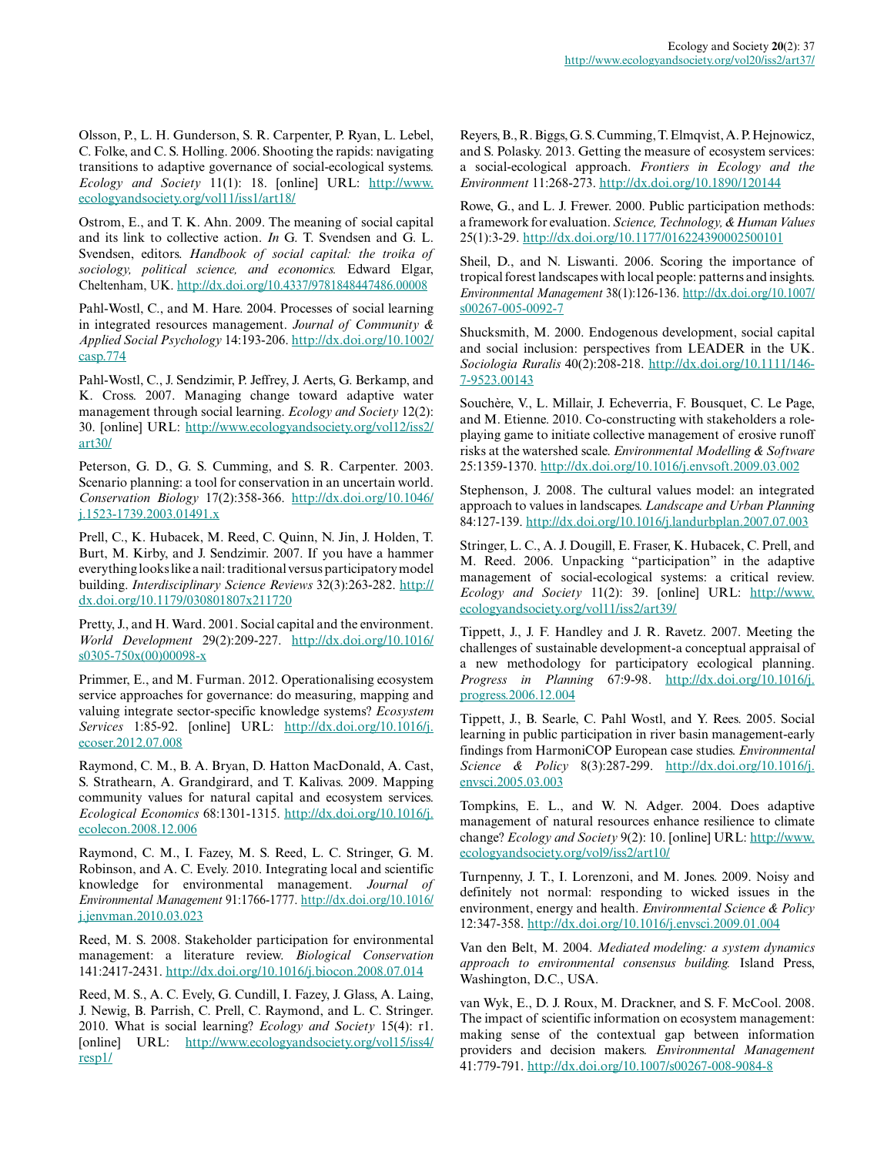Olsson, P., L. H. Gunderson, S. R. Carpenter, P. Ryan, L. Lebel, C. Folke, and C. S. Holling. 2006. Shooting the rapids: navigating transitions to adaptive governance of social-ecological systems. *Ecology and Society* 11(1): 18. [online] URL: [http://www.](http://www.ecologyandsociety.org/vol11/iss1/art18/) [ecologyandsociety.org/vol11/iss1/art18/](http://www.ecologyandsociety.org/vol11/iss1/art18/)

Ostrom, E., and T. K. Ahn. 2009. The meaning of social capital and its link to collective action. *In* G. T. Svendsen and G. L. Svendsen, editors. *Handbook of social capital: the troika of sociology, political science, and economics.* Edward Elgar, Cheltenham, UK. [http://dx.doi.org/10.4337/9781848447486.00008](http://dx.doi.org/10.4337%2F9781848447486.00008) 

Pahl-Wostl, C., and M. Hare. 2004. Processes of social learning in integrated resources management. *Journal of Community & Applied Social Psychology* 14:193-206. [http://dx.doi.org/10.1002/](http://dx.doi.org/10.1002%2Fcasp.774) [casp.774](http://dx.doi.org/10.1002%2Fcasp.774)

Pahl-Wostl, C., J. Sendzimir, P. Jeffrey, J. Aerts, G. Berkamp, and K. Cross. 2007. Managing change toward adaptive water management through social learning. *Ecology and Society* 12(2): 30. [online] URL: [http://www.ecologyandsociety.org/vol12/iss2/](http://www.ecologyandsociety.org/vol12/iss2/art30/) [art30/](http://www.ecologyandsociety.org/vol12/iss2/art30/)

Peterson, G. D., G. S. Cumming, and S. R. Carpenter. 2003. Scenario planning: a tool for conservation in an uncertain world. *Conservation Biology* 17(2):358-366. [http://dx.doi.org/10.1046/](http://dx.doi.org/10.1046%2Fj.1523-1739.2003.01491.x) [j.1523-1739.2003.01491.x](http://dx.doi.org/10.1046%2Fj.1523-1739.2003.01491.x)

Prell, C., K. Hubacek, M. Reed, C. Quinn, N. Jin, J. Holden, T. Burt, M. Kirby, and J. Sendzimir. 2007. If you have a hammer everything looks like a nail: traditional versus participatory model building. *Interdisciplinary Science Reviews* 32(3):263-282. [http://](http://dx.doi.org/10.1179%2F030801807x211720) [dx.doi.org/10.1179/030801807x211720](http://dx.doi.org/10.1179%2F030801807x211720) 

Pretty, J., and H. Ward. 2001. Social capital and the environment. *World Development* 29(2):209-227. [http://dx.doi.org/10.1016/](http://dx.doi.org/10.1016%2Fs0305-750x%2800%2900098-x) [s0305-750x\(00\)00098-x](http://dx.doi.org/10.1016%2Fs0305-750x%2800%2900098-x)

Primmer, E., and M. Furman. 2012. Operationalising ecosystem service approaches for governance: do measuring, mapping and valuing integrate sector-specific knowledge systems? *Ecosystem Services* 1:85-92. [online] URL: [http://dx.doi.org/10.1016/j.](http://dx.doi.org/10.1016%2Fj.ecoser.2012.07.008) [ecoser.2012.07.008](http://dx.doi.org/10.1016%2Fj.ecoser.2012.07.008) 

Raymond, C. M., B. A. Bryan, D. Hatton MacDonald, A. Cast, S. Strathearn, A. Grandgirard, and T. Kalivas. 2009. Mapping community values for natural capital and ecosystem services. *Ecological Economics* 68:1301-1315. [http://dx.doi.org/10.1016/j.](http://dx.doi.org/10.1016%2Fj.ecolecon.2008.12.006) [ecolecon.2008.12.006](http://dx.doi.org/10.1016%2Fj.ecolecon.2008.12.006) 

Raymond, C. M., I. Fazey, M. S. Reed, L. C. Stringer, G. M. Robinson, and A. C. Evely. 2010. Integrating local and scientific knowledge for environmental management. *Journal of Environmental Management* 91:1766-1777. [http://dx.doi.org/10.1016/](http://dx.doi.org/10.1016%2Fj.jenvman.2010.03.023) [j.jenvman.2010.03.023](http://dx.doi.org/10.1016%2Fj.jenvman.2010.03.023)

Reed, M. S. 2008. Stakeholder participation for environmental management: a literature review. *Biological Conservation* 141:2417-2431. [http://dx.doi.org/10.1016/j.biocon.2008.07.014](http://dx.doi.org/10.1016%2Fj.biocon.2008.07.014) 

Reed, M. S., A. C. Evely, G. Cundill, I. Fazey, J. Glass, A. Laing, J. Newig, B. Parrish, C. Prell, C. Raymond, and L. C. Stringer. 2010. What is social learning? *Ecology and Society* 15(4): r1. [online] URL: [http://www.ecologyandsociety.org/vol15/iss4/](http://www.ecologyandsociety.org/vol15/iss4/resp1/) [resp1/](http://www.ecologyandsociety.org/vol15/iss4/resp1/) 

Reyers, B., R. Biggs, G. S. Cumming, T. Elmqvist, A. P. Hejnowicz, and S. Polasky. 2013. Getting the measure of ecosystem services: a social-ecological approach. *Frontiers in Ecology and the Environment* 11:268-273. [http://dx.doi.org/10.1890/120144](http://dx.doi.org/10.1890%2F120144) 

Rowe, G., and L. J. Frewer. 2000. Public participation methods: a framework for evaluation. *Science, Technology, & Human Values* 25(1):3-29. [http://dx.doi.org/10.1177/016224390002500101](http://dx.doi.org/10.1177%2F016224390002500101)

Sheil, D., and N. Liswanti. 2006. Scoring the importance of tropical forest landscapes with local people: patterns and insights. *Environmental Management* 38(1):126-136. [http://dx.doi.org/10.1007/](http://dx.doi.org/10.1007%2Fs00267-005-0092-7) [s00267-005-0092-7](http://dx.doi.org/10.1007%2Fs00267-005-0092-7) 

Shucksmith, M. 2000. Endogenous development, social capital and social inclusion: perspectives from LEADER in the UK. *Sociologia Ruralis* 40(2):208-218. [http://dx.doi.org/10.1111/146](http://dx.doi.org/10.1111%2F1467-9523.00143) [7-9523.00143](http://dx.doi.org/10.1111%2F1467-9523.00143)

Souchère, V., L. Millair, J. Echeverria, F. Bousquet, C. Le Page, and M. Etienne. 2010. Co-constructing with stakeholders a roleplaying game to initiate collective management of erosive runoff risks at the watershed scale. *Environmental Modelling & Software* 25:1359-1370. [http://dx.doi.org/10.1016/j.envsoft.2009.03.002](http://dx.doi.org/10.1016%2Fj.envsoft.2009.03.002) 

Stephenson, J. 2008. The cultural values model: an integrated approach to values in landscapes. *Landscape and Urban Planning* 84:127-139. [http://dx.doi.org/10.1016/j.landurbplan.2007.07.003](http://dx.doi.org/10.1016%2Fj.landurbplan.2007.07.003) 

Stringer, L. C., A. J. Dougill, E. Fraser, K. Hubacek, C. Prell, and M. Reed. 2006. Unpacking "participation" in the adaptive management of social-ecological systems: a critical review. *Ecology and Society* 11(2): 39. [online] URL: [http://www.](http://www.ecologyandsociety.org/vol11/iss2/art39/) [ecologyandsociety.org/vol11/iss2/art39/](http://www.ecologyandsociety.org/vol11/iss2/art39/)

Tippett, J., J. F. Handley and J. R. Ravetz. 2007. Meeting the challenges of sustainable development-a conceptual appraisal of a new methodology for participatory ecological planning. *Progress in Planning* 67:9-98. [http://dx.doi.org/10.1016/j.](http://dx.doi.org/10.1016%2Fj.progress.2006.12.004) [progress.2006.12.004](http://dx.doi.org/10.1016%2Fj.progress.2006.12.004) 

Tippett, J., B. Searle, C. Pahl Wostl, and Y. Rees. 2005. Social learning in public participation in river basin management-early findings from HarmoniCOP European case studies. *Environmental Science & Policy* 8(3):287-299. [http://dx.doi.org/10.1016/j.](http://dx.doi.org/10.1016%2Fj.envsci.2005.03.003) [envsci.2005.03.003](http://dx.doi.org/10.1016%2Fj.envsci.2005.03.003) 

Tompkins, E. L., and W. N. Adger. 2004. Does adaptive management of natural resources enhance resilience to climate change? *Ecology and Society* 9(2): 10. [online] URL: [http://www.](http://www.ecologyandsociety.org/vol9/iss2/art10/) [ecologyandsociety.org/vol9/iss2/art10/](http://www.ecologyandsociety.org/vol9/iss2/art10/) 

Turnpenny, J. T., I. Lorenzoni, and M. Jones. 2009. Noisy and definitely not normal: responding to wicked issues in the environment, energy and health. *Environmental Science & Policy* 12:347-358. [http://dx.doi.org/10.1016/j.envsci.2009.01.004](http://dx.doi.org/10.1016%2Fj.envsci.2009.01.004)

Van den Belt, M. 2004. *Mediated modeling: a system dynamics approach to environmental consensus building.* Island Press, Washington, D.C., USA.

van Wyk, E., D. J. Roux, M. Drackner, and S. F. McCool. 2008. The impact of scientific information on ecosystem management: making sense of the contextual gap between information providers and decision makers. *Environmental Management* 41:779-791. [http://dx.doi.org/10.1007/s00267-008-9084-8](http://dx.doi.org/10.1007%2Fs00267-008-9084-8)